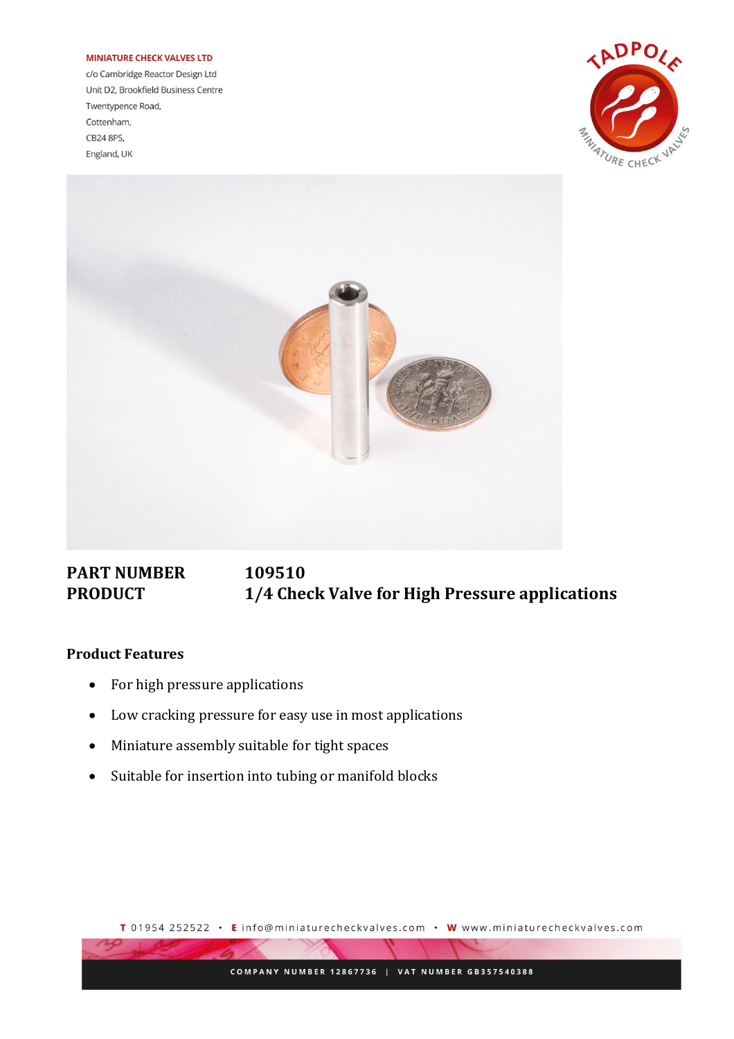## **MINIATURE CHECK VALVES LTD**

c/o Cambridge Reactor Design Ltd Unit D2, Brookfield Business Centre Twentypence Road, Cottenham, CB24 8PS, England, UK





## **PART NUMBER 109510 PRODUCT 1/4 Check Valve for High Pressure applications**

## **Product Features**

- For high pressure applications
- Low cracking pressure for easy use in most applications
- Miniature assembly suitable for tight spaces
- Suitable for insertion into tubing or manifold blocks

T 01954 252522 · E info@miniaturecheckvalves.com · W www.miniaturecheckvalves.com

COMPANY NUMBER 12867736 | VAT NUMBER GB357540388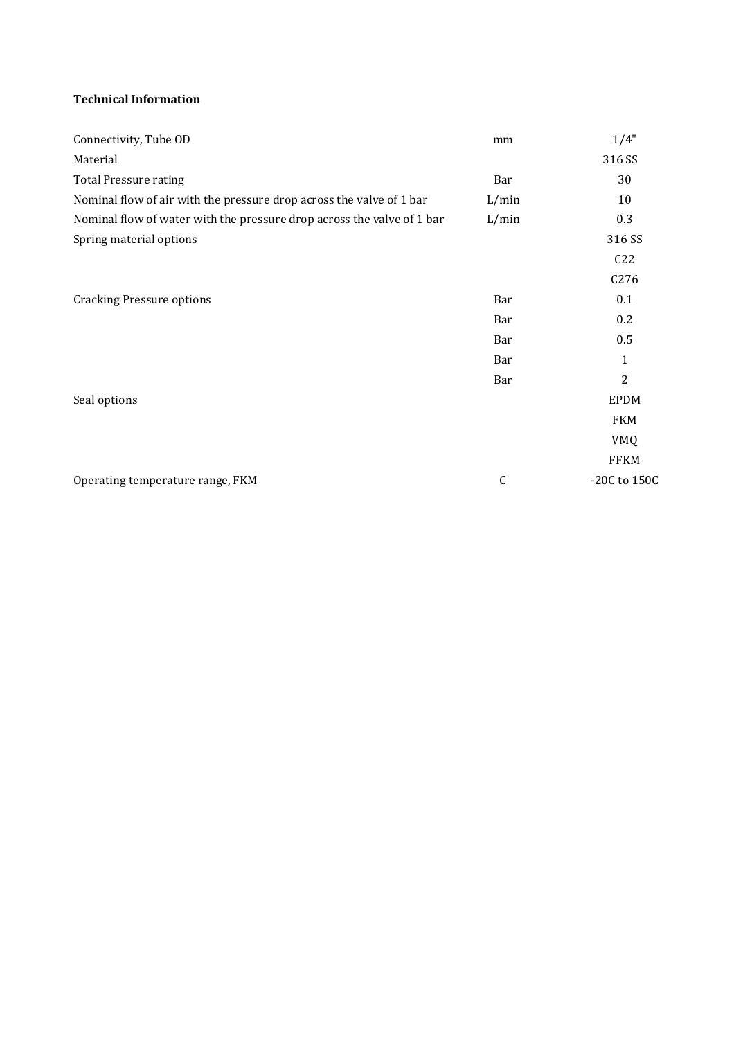## **Technical Information**

| Connectivity, Tube OD                                                  | mm           | 1/4"             |
|------------------------------------------------------------------------|--------------|------------------|
| Material                                                               |              | 316 SS           |
| <b>Total Pressure rating</b>                                           | Bar          | 30               |
| Nominal flow of air with the pressure drop across the valve of 1 bar   | L/min        | 10               |
| Nominal flow of water with the pressure drop across the valve of 1 bar | L/min        | 0.3              |
| Spring material options                                                |              | 316 SS           |
|                                                                        |              | C22              |
|                                                                        |              | C <sub>276</sub> |
| <b>Cracking Pressure options</b>                                       | Bar          | 0.1              |
|                                                                        | Bar          | 0.2              |
|                                                                        | Bar          | 0.5              |
|                                                                        | Bar          | $\mathbf{1}$     |
|                                                                        | Bar          | 2                |
| Seal options                                                           |              | <b>EPDM</b>      |
|                                                                        |              | <b>FKM</b>       |
|                                                                        |              | <b>VMQ</b>       |
|                                                                        |              | <b>FFKM</b>      |
| Operating temperature range, FKM                                       | $\mathsf{C}$ | -20C to 150C     |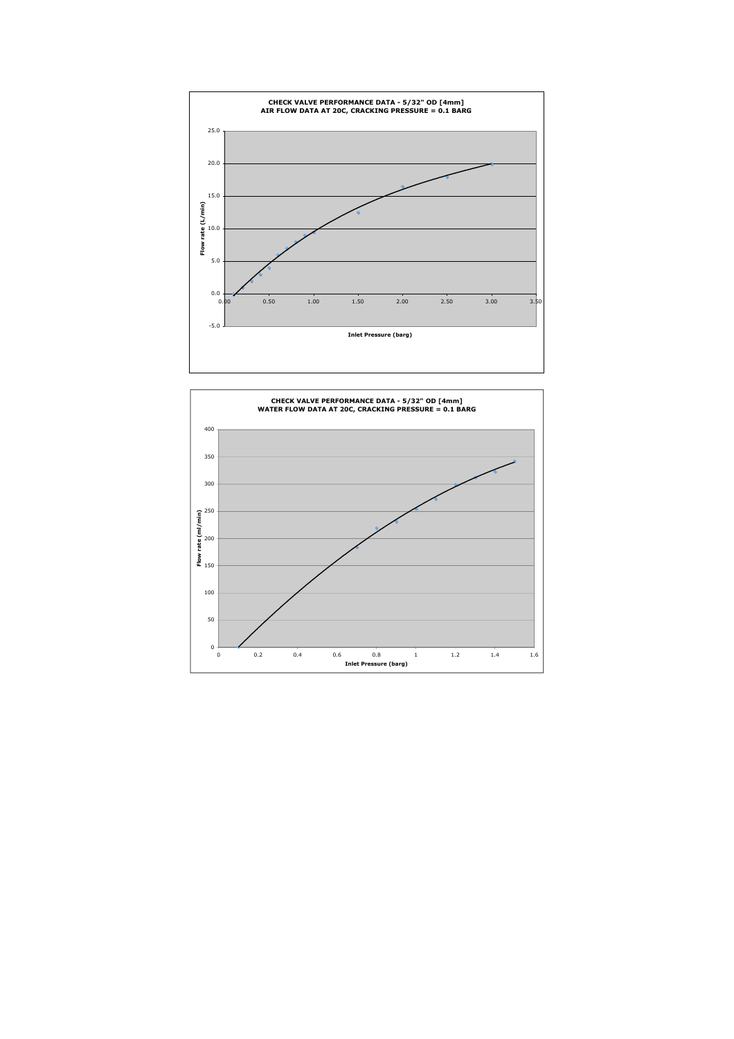